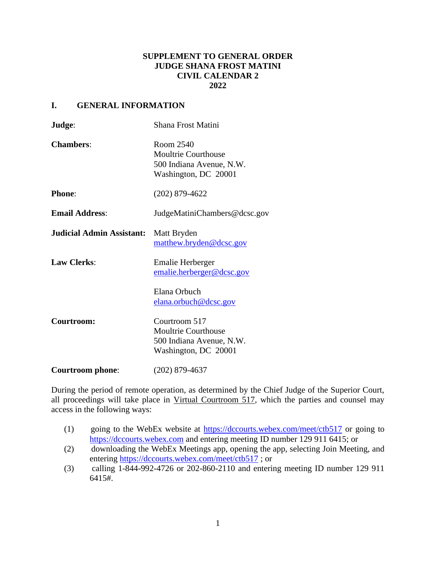## **SUPPLEMENT TO GENERAL ORDER JUDGE SHANA FROST MATINI CIVIL CALENDAR 2 2022**

## **I. GENERAL INFORMATION**

| Judge:                           | Shana Frost Matini                                                                              |
|----------------------------------|-------------------------------------------------------------------------------------------------|
| <b>Chambers:</b>                 | Room 2540<br><b>Moultrie Courthouse</b><br>500 Indiana Avenue, N.W.<br>Washington, DC 20001     |
| <b>Phone:</b>                    | $(202)$ 879-4622                                                                                |
| <b>Email Address:</b>            | JudgeMatiniChambers@dcsc.gov                                                                    |
| <b>Judicial Admin Assistant:</b> | Matt Bryden<br>matthew.bryden@dcsc.gov                                                          |
| <b>Law Clerks:</b>               | <b>Emalie Herberger</b><br>emalie.herberger@dcsc.gov                                            |
|                                  | Elana Orbuch<br>elana.orbuch@dcsc.gov                                                           |
| Courtroom:                       | Courtroom 517<br><b>Moultrie Courthouse</b><br>500 Indiana Avenue, N.W.<br>Washington, DC 20001 |
| <b>Courtroom</b> phone:          | (202) 879-4637                                                                                  |

During the period of remote operation, as determined by the Chief Judge of the Superior Court, all proceedings will take place in Virtual Courtroom 517, which the parties and counsel may access in the following ways:

- (1) going to the WebEx website at<https://dccourts.webex.com/meet/ctb517> or going to [https://dccourts.webex.com](https://dccourts.webex.com/) and entering meeting ID number 129 911 6415; or
- (2) downloading the WebEx Meetings app, opening the app, selecting Join Meeting, and entering<https://dccourts.webex.com/meet/ctb517> ; or
- (3) calling 1-844-992-4726 or 202-860-2110 and entering meeting ID number 129 911 6415#.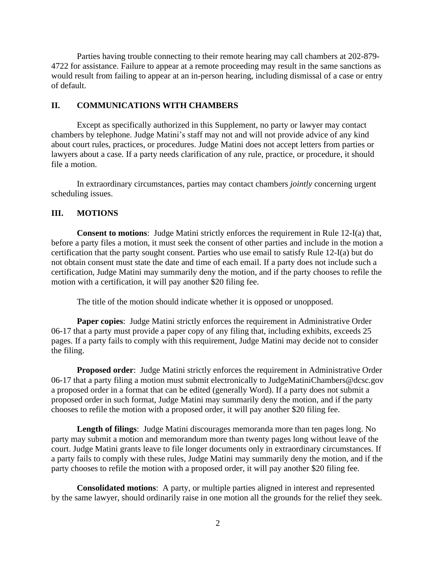Parties having trouble connecting to their remote hearing may call chambers at 202-879- 4722 for assistance. Failure to appear at a remote proceeding may result in the same sanctions as would result from failing to appear at an in-person hearing, including dismissal of a case or entry of default.

## **II. COMMUNICATIONS WITH CHAMBERS**

Except as specifically authorized in this Supplement, no party or lawyer may contact chambers by telephone. Judge Matini's staff may not and will not provide advice of any kind about court rules, practices, or procedures. Judge Matini does not accept letters from parties or lawyers about a case. If a party needs clarification of any rule, practice, or procedure, it should file a motion.

In extraordinary circumstances, parties may contact chambers *jointly* concerning urgent scheduling issues.

#### **III. MOTIONS**

**Consent to motions**: Judge Matini strictly enforces the requirement in Rule 12-I(a) that, before a party files a motion, it must seek the consent of other parties and include in the motion a certification that the party sought consent. Parties who use email to satisfy Rule 12-I(a) but do not obtain consent must state the date and time of each email. If a party does not include such a certification, Judge Matini may summarily deny the motion, and if the party chooses to refile the motion with a certification, it will pay another \$20 filing fee.

The title of the motion should indicate whether it is opposed or unopposed.

**Paper copies**: Judge Matini strictly enforces the requirement in Administrative Order 06-17 that a party must provide a paper copy of any filing that, including exhibits, exceeds 25 pages. If a party fails to comply with this requirement, Judge Matini may decide not to consider the filing.

**Proposed order**: Judge Matini strictly enforces the requirement in Administrative Order 06-17 that a party filing a motion must submit electronically to JudgeMatiniChambers@dcsc.gov a proposed order in a format that can be edited (generally Word). If a party does not submit a proposed order in such format, Judge Matini may summarily deny the motion, and if the party chooses to refile the motion with a proposed order, it will pay another \$20 filing fee.

**Length of filings**: Judge Matini discourages memoranda more than ten pages long. No party may submit a motion and memorandum more than twenty pages long without leave of the court. Judge Matini grants leave to file longer documents only in extraordinary circumstances. If a party fails to comply with these rules, Judge Matini may summarily deny the motion, and if the party chooses to refile the motion with a proposed order, it will pay another \$20 filing fee.

**Consolidated motions**: A party, or multiple parties aligned in interest and represented by the same lawyer, should ordinarily raise in one motion all the grounds for the relief they seek.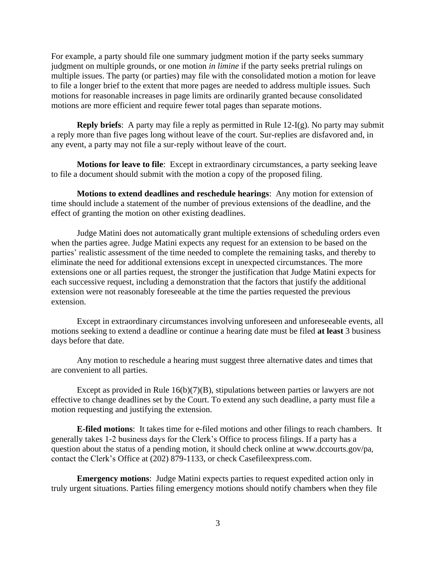For example, a party should file one summary judgment motion if the party seeks summary judgment on multiple grounds, or one motion *in limine* if the party seeks pretrial rulings on multiple issues. The party (or parties) may file with the consolidated motion a motion for leave to file a longer brief to the extent that more pages are needed to address multiple issues. Such motions for reasonable increases in page limits are ordinarily granted because consolidated motions are more efficient and require fewer total pages than separate motions.

**Reply briefs**: A party may file a reply as permitted in Rule 12-I(g). No party may submit a reply more than five pages long without leave of the court. Sur-replies are disfavored and, in any event, a party may not file a sur-reply without leave of the court.

**Motions for leave to file**: Except in extraordinary circumstances, a party seeking leave to file a document should submit with the motion a copy of the proposed filing.

**Motions to extend deadlines and reschedule hearings**: Any motion for extension of time should include a statement of the number of previous extensions of the deadline, and the effect of granting the motion on other existing deadlines.

Judge Matini does not automatically grant multiple extensions of scheduling orders even when the parties agree. Judge Matini expects any request for an extension to be based on the parties' realistic assessment of the time needed to complete the remaining tasks, and thereby to eliminate the need for additional extensions except in unexpected circumstances. The more extensions one or all parties request, the stronger the justification that Judge Matini expects for each successive request, including a demonstration that the factors that justify the additional extension were not reasonably foreseeable at the time the parties requested the previous extension.

Except in extraordinary circumstances involving unforeseen and unforeseeable events, all motions seeking to extend a deadline or continue a hearing date must be filed **at least** 3 business days before that date.

Any motion to reschedule a hearing must suggest three alternative dates and times that are convenient to all parties.

Except as provided in Rule  $16(b)(7)(B)$ , stipulations between parties or lawyers are not effective to change deadlines set by the Court. To extend any such deadline, a party must file a motion requesting and justifying the extension.

**E-filed motions**: It takes time for e-filed motions and other filings to reach chambers. It generally takes 1-2 business days for the Clerk's Office to process filings. If a party has a question about the status of a pending motion, it should check online at www.dccourts.gov/pa, contact the Clerk's Office at (202) 879-1133, or check Casefileexpress.com.

**Emergency motions**: Judge Matini expects parties to request expedited action only in truly urgent situations. Parties filing emergency motions should notify chambers when they file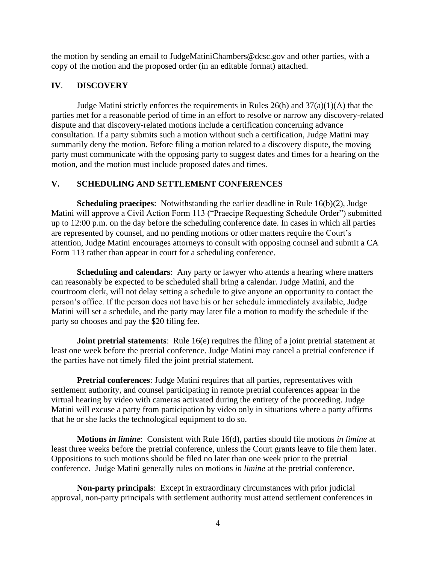the motion by sending an email to JudgeMatiniChambers@dcsc.gov and other parties, with a copy of the motion and the proposed order (in an editable format) attached.

# **IV**. **DISCOVERY**

Judge Matini strictly enforces the requirements in Rules 26(h) and 37(a)(1)(A) that the parties met for a reasonable period of time in an effort to resolve or narrow any discovery-related dispute and that discovery-related motions include a certification concerning advance consultation. If a party submits such a motion without such a certification, Judge Matini may summarily deny the motion. Before filing a motion related to a discovery dispute, the moving party must communicate with the opposing party to suggest dates and times for a hearing on the motion, and the motion must include proposed dates and times.

# **V. SCHEDULING AND SETTLEMENT CONFERENCES**

**Scheduling praecipes**: Notwithstanding the earlier deadline in Rule 16(b)(2), Judge Matini will approve a Civil Action Form 113 ("Praecipe Requesting Schedule Order") submitted up to 12:00 p.m. on the day before the scheduling conference date. In cases in which all parties are represented by counsel, and no pending motions or other matters require the Court's attention, Judge Matini encourages attorneys to consult with opposing counsel and submit a CA Form 113 rather than appear in court for a scheduling conference.

**Scheduling and calendars**: Any party or lawyer who attends a hearing where matters can reasonably be expected to be scheduled shall bring a calendar. Judge Matini, and the courtroom clerk, will not delay setting a schedule to give anyone an opportunity to contact the person's office. If the person does not have his or her schedule immediately available, Judge Matini will set a schedule, and the party may later file a motion to modify the schedule if the party so chooses and pay the \$20 filing fee.

**Joint pretrial statements**: Rule 16(e) requires the filing of a joint pretrial statement at least one week before the pretrial conference. Judge Matini may cancel a pretrial conference if the parties have not timely filed the joint pretrial statement.

**Pretrial conferences**: Judge Matini requires that all parties, representatives with settlement authority, and counsel participating in remote pretrial conferences appear in the virtual hearing by video with cameras activated during the entirety of the proceeding. Judge Matini will excuse a party from participation by video only in situations where a party affirms that he or she lacks the technological equipment to do so.

**Motions** *in limine*: Consistent with Rule 16(d), parties should file motions *in limine* at least three weeks before the pretrial conference, unless the Court grants leave to file them later. Oppositions to such motions should be filed no later than one week prior to the pretrial conference. Judge Matini generally rules on motions *in limine* at the pretrial conference.

**Non-party principals**: Except in extraordinary circumstances with prior judicial approval, non-party principals with settlement authority must attend settlement conferences in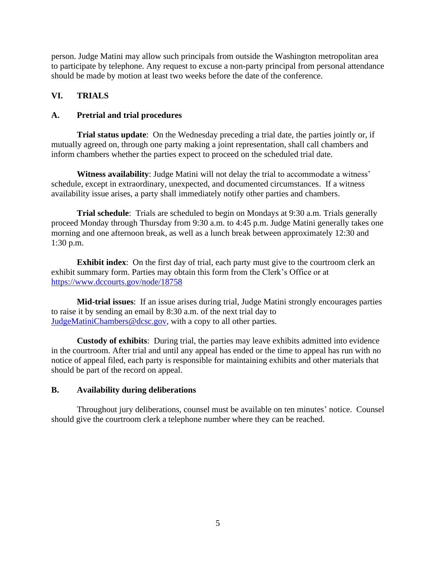person. Judge Matini may allow such principals from outside the Washington metropolitan area to participate by telephone. Any request to excuse a non-party principal from personal attendance should be made by motion at least two weeks before the date of the conference.

# **VI. TRIALS**

# **A. Pretrial and trial procedures**

**Trial status update**: On the Wednesday preceding a trial date, the parties jointly or, if mutually agreed on, through one party making a joint representation, shall call chambers and inform chambers whether the parties expect to proceed on the scheduled trial date.

**Witness availability**: Judge Matini will not delay the trial to accommodate a witness' schedule, except in extraordinary, unexpected, and documented circumstances. If a witness availability issue arises, a party shall immediately notify other parties and chambers.

**Trial schedule**: Trials are scheduled to begin on Mondays at 9:30 a.m. Trials generally proceed Monday through Thursday from 9:30 a.m. to 4:45 p.m. Judge Matini generally takes one morning and one afternoon break, as well as a lunch break between approximately 12:30 and 1:30 p.m.

**Exhibit index**: On the first day of trial, each party must give to the courtroom clerk an exhibit summary form. Parties may obtain this form from the Clerk's Office or at <https://www.dccourts.gov/node/18758>

**Mid-trial issues**: If an issue arises during trial, Judge Matini strongly encourages parties to raise it by sending an email by 8:30 a.m. of the next trial day to [JudgeMatiniChambers@dcsc.gov,](mailto:JudgeMatiniChambers@dcsc.gov) with a copy to all other parties.

**Custody of exhibits**: During trial, the parties may leave exhibits admitted into evidence in the courtroom. After trial and until any appeal has ended or the time to appeal has run with no notice of appeal filed, each party is responsible for maintaining exhibits and other materials that should be part of the record on appeal.

### **B. Availability during deliberations**

Throughout jury deliberations, counsel must be available on ten minutes' notice. Counsel should give the courtroom clerk a telephone number where they can be reached.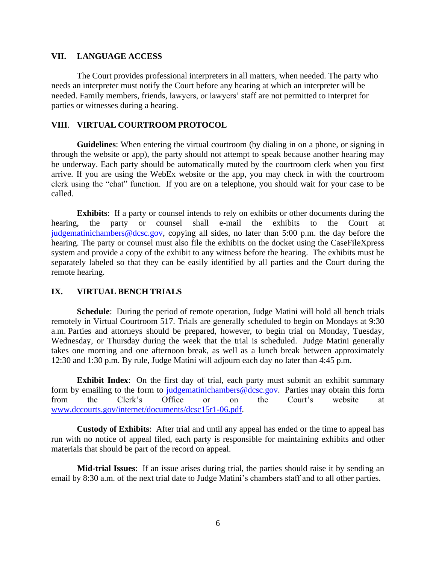### **VII. LANGUAGE ACCESS**

The Court provides professional interpreters in all matters, when needed. The party who needs an interpreter must notify the Court before any hearing at which an interpreter will be needed. Family members, friends, lawyers, or lawyers' staff are not permitted to interpret for parties or witnesses during a hearing.

### **VIII**. **VIRTUAL COURTROOM PROTOCOL**

**Guidelines**: When entering the virtual courtroom (by dialing in on a phone, or signing in through the website or app), the party should not attempt to speak because another hearing may be underway. Each party should be automatically muted by the courtroom clerk when you first arrive. If you are using the WebEx website or the app, you may check in with the courtroom clerk using the "chat" function. If you are on a telephone, you should wait for your case to be called.

**Exhibits**: If a party or counsel intends to rely on exhibits or other documents during the hearing, the party or counsel shall e-mail the exhibits to the Court at [judgematinichambers@dcsc.gov,](mailto:judgematinichambers@dcsc.gov) copying all sides, no later than 5:00 p.m. the day before the hearing. The party or counsel must also file the exhibits on the docket using the CaseFileXpress system and provide a copy of the exhibit to any witness before the hearing. The exhibits must be separately labeled so that they can be easily identified by all parties and the Court during the remote hearing.

#### **IX. VIRTUAL BENCH TRIALS**

**Schedule**: During the period of remote operation, Judge Matini will hold all bench trials remotely in Virtual Courtroom 517. Trials are generally scheduled to begin on Mondays at 9:30 a.m. Parties and attorneys should be prepared, however, to begin trial on Monday, Tuesday, Wednesday, or Thursday during the week that the trial is scheduled. Judge Matini generally takes one morning and one afternoon break, as well as a lunch break between approximately 12:30 and 1:30 p.m. By rule, Judge Matini will adjourn each day no later than 4:45 p.m.

**Exhibit Index**: On the first day of trial, each party must submit an exhibit summary form by emailing to the form to [judgematinichambers@dcsc.gov.](mailto:judgematinichambers@dcsc.gov) Parties may obtain this form from the Clerk's Office or on the Court's website at [www.dccourts.gov/internet/documents/dcsc15r1-06.pdf.](http://www.dccourts.gov/internet/documents/dcsc15r1-06.pdf)

**Custody of Exhibits**: After trial and until any appeal has ended or the time to appeal has run with no notice of appeal filed, each party is responsible for maintaining exhibits and other materials that should be part of the record on appeal.

 **Mid-trial Issues**: If an issue arises during trial, the parties should raise it by sending an email by 8:30 a.m. of the next trial date to Judge Matini's chambers staff and to all other parties.